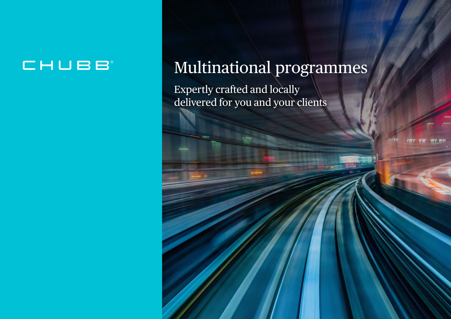## CHUBB

# Multinational programmes

Expertly crafted and locally delivered for you and your clients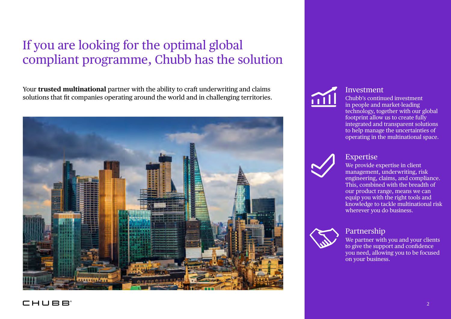### If you are looking for the optimal global compliant programme, Chubb has the solution

Your **trusted multinational** partner with the ability to craft underwriting and claims solutions that fit companies operating around the world and in challenging territories.





#### Investment

Chubb's continued investment in people and market-leading technology, together with our global footprint allow us to create fully integrated and transparent solutions to help manage the uncertainties of operating in the multinational space.



#### Expertise

We provide expertise in client management, underwriting, risk engineering, claims, and compliance. This, combined with the breadth of our product range, means we can equip you with the right tools and knowledge to tackle multinational risk wherever you do business.



Partnership

We partner with you and your clients to give the support and confidence you need, allowing you to be focused on your business.

#### CHUBB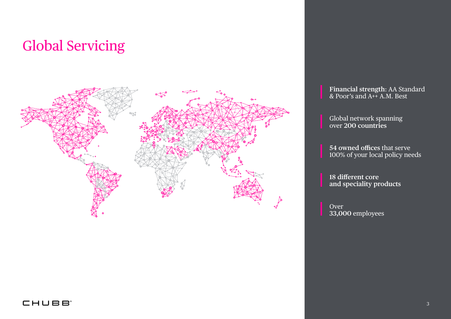## Global Servicing



**Financial strength**: AA Standard & Poor's and A++ A.M. Best

Global network spanning over **200 countries**

**54 owned offices** that serve 100% of your local policy needs

**18 different core and speciality products**

Over **33,000** employees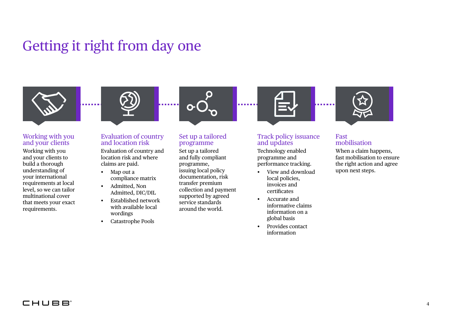## Getting it right from day one



#### Working with you and your clients

Working with you and your clients to build a thorough understanding of your international requirements at local level, so we can tailor multinational cover that meets your exact requirements.



#### Evaluation of country and location risk

Evaluation of country and location risk and where claims are paid.

- Map out a compliance matrix
- Admitted, Non Admitted, DIC/DIL
- Established network with available local wordings
- Catastrophe Pools



#### Set up a tailored programme

Set up a tailored and fully compliant programme, issuing local policy documentation, risk transfer premium collection and payment supported by agreed service standards around the world.



#### Track policy issuance and updates

Technology enabled programme and performance tracking.

- View and download local policies, invoices and certificates
- Accurate and informative claims information on a global basis
- Provides contact information



#### Fast mobilisation

When a claim happens, fast mobilisation to ensure the right action and agree upon next steps.

#### CHUBB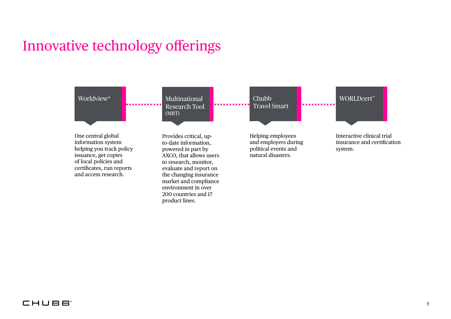## Innovative technology offerings



#### **CHUBB**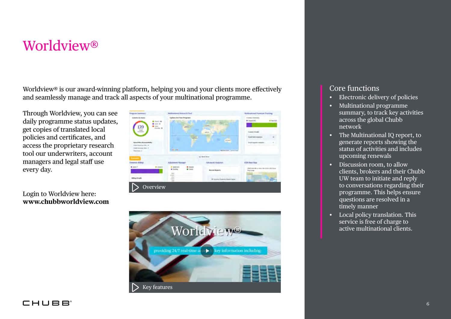### Worldview®

Worldview<sup>®</sup> is our award-winning platform, helping you and your clients more effectively and seamlessly manage and track all aspects of your multinational programme.

Through Worldview, you can see daily programme status updates, get copies of translated local policies and certificates, and access the proprietary research tool our underwriters, account managers and legal staff use every day.

Login to Worldview here: **www.chubbworldview.com** 

| Program Seminary                                                                        | Multinational Research Tool                                                                        |                                        | Mohlmational Premium Tracking                                                    |
|-----------------------------------------------------------------------------------------|----------------------------------------------------------------------------------------------------|----------------------------------------|----------------------------------------------------------------------------------|
| Artisticular teatra<br><b>B</b> (loc) 88                                                | <b>Epslates For Near Programs</b>                                                                  |                                        |                                                                                  |
| <b>B</b> reserving<br>139<br><b>Lights</b><br><b>INVAR B</b>                            | 2007                                                                                               | Kin.                                   | P Fast Art-<br>* Ultrail 18%                                                     |
| $\frac{\partial  {\bf x}  }{\partial {\bf x} - {\bf x} }$                               |                                                                                                    | point in                               | <b>Guests Details</b>                                                            |
|                                                                                         | <b>COLLEGE</b><br>×                                                                                | ٠<br><b>STATE</b>                      | <b>Sold Faid Countrys</b><br>$\equiv$                                            |
| Open Policy Responsibility<br>Chief's Scottling (1984-19)<br>Lisable boronzag tobac - 2 | a l                                                                                                |                                        | Sultipablicamentes<br>$\equiv$<br>a al                                           |
| <b>Time fixes (2)</b>                                                                   | Georgia                                                                                            | Implantation   home of part            |                                                                                  |
| <b>Distances</b>                                                                        |                                                                                                    | of Great Lines                         |                                                                                  |
| Domestic Eilling                                                                        | <b>Adjustment Manager</b>                                                                          | Athanewi Artabries                     | <b>CS2S Hear Mage</b>                                                            |
| $\bullet$ classed 3<br>$+$ (sum if)                                                     | $\bullet$ impute<br>W Announce<br>$\bullet$ Closed<br><b>*</b> Pending<br>$\overline{\phantom{a}}$ | <b>Become Begauers</b>                 | Click this thin when the CNN CRA Hotel<br><b>TEAP (FAB)</b><br><b>STATISTICS</b> |
| <b>Edling Ovtally</b>                                                                   | <b>Killed</b><br><b>Side</b><br>$-0.001$                                                           | W. Januarity Production Nindol Chappel |                                                                                  |
| Overview                                                                                |                                                                                                    |                                        |                                                                                  |



### Core functions

- Electronic delivery of policies
- Multinational programme summary, to track key activities across the global Chubb network
- The Multinational IQ report, to generate reports showing the status of activities and includes upcoming renewals
- Discussion room, to allow clients, brokers and their Chubb UW team to initiate and reply to conversations regarding their programme. This helps ensure questions are resolved in a timely manner
- Local policy translation. This service is free of charge to active multinational clients.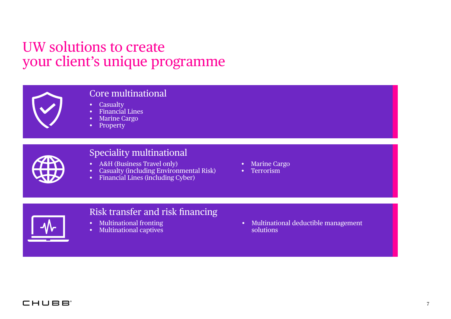### UW solutions to create your client's unique programme



### Core multinational

- Casualty
- Financial Lines
- Marine Cargo
- Property



### Speciality multinational

- A&H (Business Travel only)
- Casualty (including Environmental Risk)
- Financial Lines (including Cyber)
- Marine Cargo
- Terrorism



### Risk transfer and risk financing

- Multinational fronting
- Multinational captives

• Multinational deductible management solutions